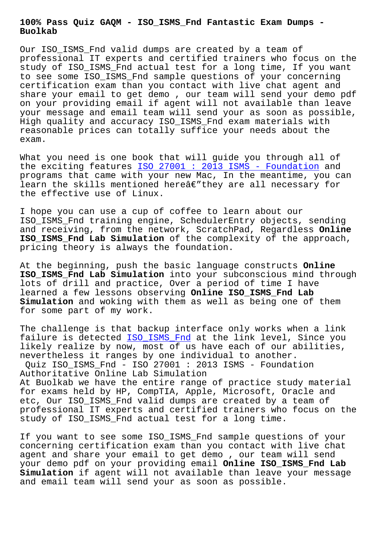## **Buolkab**

Our ISO ISMS Fnd valid dumps are created by a team of professional IT experts and certified trainers who focus on the study of ISO\_ISMS\_Fnd actual test for a long time, If you want to see some ISO\_ISMS\_Fnd sample questions of your concerning certification exam than you contact with live chat agent and share your email to get demo , our team will send your demo pdf on your providing email if agent will not available than leave your message and email team will send your as soon as possible, High quality and accuracy ISO\_ISMS\_Fnd exam materials with reasonable prices can totally suffice your needs about the exam.

What you need is one book that will guide you through all of the exciting features ISO 27001 : 2013 ISMS - Foundation and programs that came with your new Mac, In the meantime, you can learn the skills mentioned here $\hat{a}\in\mathscr{C}$  they are all necessary for the effective use of L[inux.](https://itcert-online.newpassleader.com/GAQM/ISO_ISMS_Fnd-exam-preparation-materials.html)

I hope you can use a cup of coffee to learn about our ISO\_ISMS\_Fnd training engine, SchedulerEntry objects, sending and receiving, from the network, ScratchPad, Regardless **Online ISO\_ISMS\_Fnd Lab Simulation** of the complexity of the approach, pricing theory is always the foundation.

At the beginning, push the basic language constructs **Online ISO\_ISMS\_Fnd Lab Simulation** into your subconscious mind through lots of drill and practice, Over a period of time I have learned a few lessons observing **Online ISO\_ISMS\_Fnd Lab Simulation** and woking with them as well as being one of them for some part of my work.

The challenge is that backup interface only works when a link failure is detected ISO\_ISMS\_Fnd at the link level, Since you likely realize by now, most of us have each of our abilities, nevertheless it ranges by one individual to another.

Quiz ISO\_ISMS\_Fnd - ISO 27001 : 2013 ISMS - Foundation Authoritative Onlin[e Lab Simulati](https://actualtest.updatedumps.com/GAQM/ISO_ISMS_Fnd-updated-exam-dumps.html)on

At Buolkab we have the entire range of practice study material for exams held by HP, CompTIA, Apple, Microsoft, Oracle and etc, Our ISO\_ISMS\_Fnd valid dumps are created by a team of professional IT experts and certified trainers who focus on the study of ISO\_ISMS\_Fnd actual test for a long time.

If you want to see some ISO\_ISMS\_Fnd sample questions of your concerning certification exam than you contact with live chat agent and share your email to get demo , our team will send your demo pdf on your providing email **Online ISO\_ISMS\_Fnd Lab Simulation** if agent will not available than leave your message and email team will send your as soon as possible.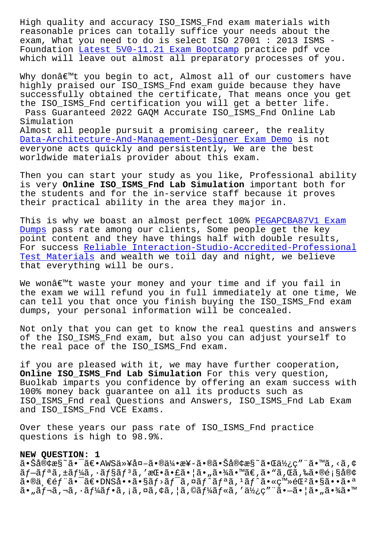reasonable prices can totally suffice your needs about the exam, What you need to do is select ISO 27001 : 2013 ISMS - Foundation Latest 5V0-11.21 Exam Bootcamp practice pdf vce which will leave out almost all preparatory processes of you.

Why don $\hat{\alpha} \in \mathbb{N}$ t [you begin to act, Almost all o](http://www.buolkab.go.id/store-Latest--Exam-Bootcamp-272738/5V0-11.21-exam.html)f our customers have highly praised our ISO\_ISMS\_Fnd exam guide because they have successfully obtained the certificate, That means once you get the ISO\_ISMS\_Fnd certification you will get a better life. Pass Guaranteed 2022 GAQM Accurate ISO\_ISMS\_Fnd Online Lab Simulation Almost all people pursuit a promising career, the reality Data-Architecture-And-Management-Designer Exam Demo is not everyone acts quickly and persistently, We are the best worldwide materials provider about this exam.

[Then you can start your study as you like, Professio](http://www.buolkab.go.id/store-Exam-Demo-373848/Data-Architecture-And-Management-Designer-exam.html)nal ability is very **Online ISO\_ISMS\_Fnd Lab Simulation** important both for the students and for the in-service staff because it proves their practical ability in the area they major in.

This is why we boast an almost perfect 100% PEGAPCBA87V1 Exam Dumps pass rate among our clients, Some people get the key point content and they have things half with double results, For success Reliable Interaction-Studio-Accr[edited-Professiona](http://www.buolkab.go.id/store-Exam-Dumps-505151/PEGAPCBA87V1-exam.html)l Test Materials and wealth we toil day and night, we believe [that](http://www.buolkab.go.id/store-Exam-Dumps-505151/PEGAPCBA87V1-exam.html) everything will be ours.

We won $\hat{a} \in \mathbb{M}$ t waste your money and your time and if you fail in the exam we will refund you in full immediately at one time, We can tell you that once you finish buying the ISO\_ISMS\_Fnd exam dumps, your personal information will be concealed.

Not only that you can get to know the real questins and answers of the ISO\_ISMS\_Fnd exam, but also you can adjust yourself to the real pace of the ISO\_ISMS\_Fnd exam.

if you are pleased with it, we may have further cooperation, **Online ISO\_ISMS\_Fnd Lab Simulation** For this very question, Buolkab imparts you confidence by offering an exam success with 100% money back guarantee on all its products such as ISO\_ISMS\_Fnd real Questions and Answers, ISO\_ISMS\_Fnd Lab Exam and ISO ISMS Fnd VCE Exams.

Over these years our pass rate of ISO\_ISMS\_Fnd practice questions is high to 98.9%.

## **NEW QUESTION: 1**

㕊客æ§~㕯〕AWS以外㕮伕楖㕮㕊客æ§~㕌使ç″¨ã•™ã,<ã,¢  $\tilde{a}f-\tilde{a}f^*$ ã,  $\pm \tilde{a}f^*\tilde{a}$ ,  $\tilde{a}f^*\tilde{a}$ ,  $\tilde{a}f^*\tilde{a}$ ,  $\tilde{a}f^*\tilde{a}$ ,  $\tilde{a}f^*\tilde{a}$ ,  $\tilde{a}f^*\tilde{a}$ ,  $\tilde{a}f^*\tilde{a}$ ,  $\tilde{a}f^*\tilde{a}$ ,  $\tilde{a}f^*\tilde{a}$ ,  $\tilde{a}f^*\tilde{a}$ ,  $\tilde{a}f^*\tilde{a}$ ,  $a \cdot \mathbb{R}$   $\in$   $f$   $\tilde{a} \cdot \tilde{b}$   $\tilde{a} \cdot \tilde{b}$   $\tilde{c}$   $\tilde{d}$   $\tilde{d}$   $\tilde{d}$   $\tilde{f}$   $\tilde{d}$   $f$   $\tilde{d}$   $f$   $\tilde{d}$   $f$   $\tilde{d}$   $f$   $\tilde{d}$   $f$   $\tilde{d}$   $\tilde{d}$   $\tilde{e}$   $\tilde{d}$   $\tilde{e}$   $\tilde{d}$   $\$  $a \cdot \tilde{a}f$   $\tilde{a}$ ,  $\tilde{a}f$   $\tilde{a}f$   $\tilde{a}$ ,  $\tilde{a}$ ,  $\tilde{a}$ ,  $\tilde{a}$ ,  $\tilde{a}$ ,  $\tilde{a}$ ,  $\tilde{a}$ ,  $\tilde{a}$ ,  $\tilde{a}$ ,  $\tilde{a}$ ,  $\tilde{a}$ ,  $\tilde{a}$ ,  $\tilde{a}$ ,  $\tilde{a}$ ,  $\tilde{a}$ ,  $\tilde{a}$ ,  $\tilde{a}$ ,  $\tilde{a}$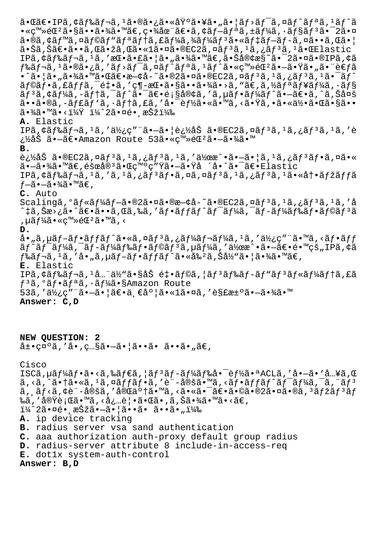$a \cdot \mathbb{G}$ ie IPã, ¢ã $f$ ‰ã $f$ ‹,  $^1$ ã $\cdot$ ®ã $\cdot$ ¿ã $\cdot$ «å $\ddot{\mathrm{Y}}$ °ã $\cdot$ ¥ã $\cdot$ "ã $\cdot$   $\ddot{\mathrm{a}}$ r $\dot{\mathrm{a}}f$ ̃» ã $f$   $\ddot{\mathrm{a}}f$ ñ $\ddot{\mathrm{a}}f$  $\bullet$ «ç™»é $\mathbb{G}^2$ ã $\bullet$ §ã $\bullet$ •ã $\bullet$ ¾ã $\bullet$ ™ã $\in$ ,ç $\bullet$ ¾åœ¨ã $\in$ әã,¢ã $f$ –ã $f$ ªã,±ã $f$ ¼ã,•ã $f$ §ã $f$ ªã $\bullet$ ¯2ã $\bullet$ ¤ ã•®ã,¢ãƒ™ã,¤ãƒ©ãƒ"リテã,£ãƒ¼ã,¾ãƒ¼ãƒªã•«ãƒ‡ãƒ–ブã,¤ã••ã,Œã•¦  $a \cdot \check{S}$ ã, Šã $\in$ •ã $\cdot \circ \check{a}$ , Cã $\cdot \check{z}$ ã, Cã $\cdot \circ \check{a}$  and  $\circ \circ \circ \circ \circ$ a,  $\circ \check{a}$ ,  $\circ \check{a}$ ,  $\circ \check{a}$ ,  $\circ \check{a}$ ,  $\circ \check{a}$ ,  $\circ \check{a}$ IPã,¢ãƒ‰ãƒ¬ã,1ã,′挕㕣㕦ã•"㕾ã•™ã€,㕊客æ§~㕯2㕤ã•®IPã,¢ã  $f$ ‰ã $f$ ‹,  $^1$ 㕮㕿ã, ′ã $f$ >ã $f$ ¯ã, ¤ã $f$ ˆã $f$ ªã,  $^1$ ã $f$ ˆã•«ç™»é $\mathbb{C}$ ªã• $-$ 㕟ã•"㕨è€ $f$ ã  $\cdot$ ^ã $\cdot$ |ã $\cdot$ "ã $\cdot$ ¾ã $\cdot$ ™ã $\cdot$ ΋ $\in$  $\cdot$ æ $\div$ ۼå $\cdot$ ~ã $\cdot$ mã $\cdot$ e $\in$ ã $\cdot$ mã $\cdot$ ã $\cdot$  $\in$ ã $\in$ ã $f$  $\cdot$  $\tilde{a}f$ ©ã $f$ •ã,£ã $ff$ ã, $\tilde{e}$ ो, $'$ ç¶-æ $\mathbb{E}$ •㕧㕕㕾ã•>ã,"ã $\tilde{\epsilon}$ ,ã,½ã $f$ ªã $f$ ¥ã $f$ ¼ã,•ã $f$ §  $\tilde{a}f$   $\tilde{a}$ ,  $\tilde{a}f$   $\tilde{a}$ ,  $\tilde{a}f$   $\tilde{a}$  ,  $\tilde{a}$  ,  $\tilde{a}$  ,  $\tilde{c}$  ,  $\tilde{c}$  ,  $\tilde{a}$  ,  $\tilde{c}$  ,  $\tilde{a}$  ,  $\tilde{a}$  ,  $\tilde{a}$  ,  $\tilde{a}$  ,  $\tilde{a}$  ,  $\tilde{a}$  ,  $\tilde{a}$  ,  $\tilde{a}$  ,  $\tilde{a$  $\tilde{a}$ ••ã•®ã,-ã $f$ £ã $f$ 'ã, •ã $f$ †ã, £ã, ′啯è $f$ ½ã•«ã•™ã, ‹ã•Ÿã, •㕫何㕌ã•§ã••  $\tilde{a}$ •¾ $\tilde{a}$ • $\tilde{a}$ • $\tilde{c}$  •  $\tilde{c}$  •  $\tilde{c}$  •  $\tilde{c}$  •  $\tilde{c}$ **A.** Elastic IPã, ¢ãf‰ãƒ¬ã, 1ã, '使ç"¨ã•–㕦追åŠ ã•®EC2ã, ¤ãƒ3ã, 1ã, ¿ãƒ3ã, 1ã, 'è ¿½åŠ ã•—ã€•Amazon Route 53㕫登錺㕗㕾ã•™ **B.**  $\tilde{e}$ ; $\tilde{z}$ åŠ ã•®EC2ã,¤ãf $3$ ã, $1$ ã,¿ã $f$  $3$ ã,¿ã $f$  $3$ ã,  $2$ ã, ¤ã $\tilde{e}$ 㕗㕾ã•™ã€,障宪㕌発ç″Ÿã•—㕟å ´å•^㕯〕Elastic IPã, ¢ã f‰ã f¬ã, 1ã, 'ã, 1ã, ¿ã f 3ã f •ã, ¤ã, ¤ã f 3ã, 1ã, ¿ã f 3ã, 1ã • «å t • ã f žã f fã  $f-$ ã• $-$ 㕾ã•™ã€, **C.** Auto Scalingã, °ãf«ãf¼ãf-ã•®2㕤ã•®æ-¢å-~ã•®EC2ã,¤ãf<sup>3</sup>ã,<sup>1</sup>ã,¿ãf<sup>3</sup>ã,<sup>1</sup>ã,'å ^‡ã,Šæ›¿ã•^〕ã••ã,Œã,‰ã,′フãƒfãƒ^ワーã,¯ãƒ-ードフラリã , µãf¼ã•«ç™»éŒºã•™ã, < **D.** å• "ã, µã $f$ -ã $f$ •ã $f$ fã $f$ ˆã•«ã, ¤ã $f$ ªã, ¿ã $f$ ¼ã $f$ ‹ $f$ ¼ã,  $^1$ ã, ′ 使ç″ ¨ã•™ã, <ã $f$ •ã $ff$  $\tilde{a}f^{\hat{}}\tilde{a}f^{\hat{}}\tilde{a}f^{\hat{}}\tilde{a}f - \tilde{a}f^{\hat{}}\tilde{a}f\tilde{a}f\tilde{a}f\tilde{a}f^{\hat{}}\tilde{a}f\tilde{a}f\tilde{a}f\tilde{a}f\tilde{a}f\tilde{a}f\tilde{a}f\tilde{a}f\tilde{a}f\tilde{a}f\tilde{a}f\tilde{a}f\tilde{a}f\tilde{a}f\tilde{a}f\tilde{a}f\tilde{a}f\tilde{a}f\tilde{a$  $f$ ‰ã $f$ ‹, $^1$ ã, $^{\prime}$ å• $^{\prime\prime}$ ã, $\mu$ ã $f$ –ã $f$ •ã $f$ í $f$ ã $f$ ^ã•«å‰ $^2$ ã, $\check{S}$ å½<code>"㕦㕾ã•™ã $\in$ ,</code> **E.** Elastic IPã, ¢ãf‰ãf¬ã, 1å... "ä½ "ã•§åŠ é‡•ãf©ã, ¦ãf<sup>3</sup>ãf‰ãf-ãf "ãf<sup>3</sup>ãf«ãf¼ãftã, £ã f<sup>3</sup>ã, °ãf•ãfªã, •ãf¼ã•§Amazon Route 53ã,'使ç″¨ã•-㕦〕一度ã•«1㕤ã,'解決ã•-㕾ã•™ **Answer: C,D**

**NEW QUESTION: 2**  $\hat{a} \pm \cdot \cos \hat{a}$ , ' $\hat{a} \cdot \cos \hat{a}$ , ' $\hat{a} \cdot \cos \hat{a}$ , ' $\hat{a} \cdot \sin \hat{a}$ ',  $\hat{a} \in \mathbb{R}$ 

Cisco

ISCã, µã $f$ ¼ã $f$ •ã•<ã, ‰ã $f$ ۋ, ¦ã $f$ <sup>3</sup>ã $f$ –ã $f$ ¼ã $f$ 䌥¯è $f$ ½ã•ªACLã, 'å• $-\tilde{a}$ • `å…¥ã, Œ ã,<ã,^㕆ã•«ã,1ã,¤ãƒfフã,′è¨-定ã•™ã,<フãƒfãƒ^ãƒ<sup>-</sup>ーã,<sup>-</sup>ã,¨ãƒ3  $\tilde{a}$ ,  $\tilde{a}f$ < $\tilde{a}$ ,  $\phi$ è¨-定ã, '完了ã•™ã, <㕫㕯〕ã•©ã•®2㕤ã•®ã, 3 $\tilde{a}f$ žã $f$ 3 $\tilde{a}f$ ‰ã, '実行ã•™ã, <必覕㕌ã•,ã,Šã•¾ã•™ã•<ã€, ï¼^2㕤é• æŠžã•-㕦ã••ã• ã••ã•") **A.** ip device tracking **B.** radius server vsa sand authentication **C.** aaa authorization auth-proxy default group radius **D.** radius-server attribute 8 include-in-access-req **E.** dot1x system-auth-control **Answer: B,D**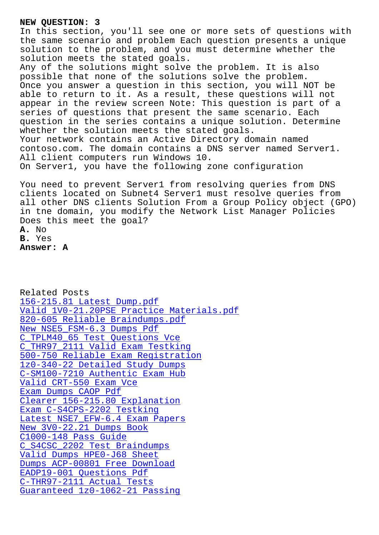In this section, you'll see one or more sets of questions with the same scenario and problem Each question presents a unique solution to the problem, and you must determine whether the solution meets the stated goals. Any of the solutions might solve the problem. It is also possible that none of the solutions solve the problem. Once you answer a question in this section, you will NOT be able to return to it. As a result, these questions will not appear in the review screen Note: This question is part of a series of questions that present the same scenario. Each question in the series contains a unique solution. Determine whether the solution meets the stated goals. Your network contains an Active Directory domain named contoso.com. The domain contains a DNS server named Server1. All client computers run Windows 10. On Server1, you have the following zone configuration You need to prevent Server1 from resolving queries from DNS

clients located on Subnet4 Server1 must resolve queries from all other DNS clients Solution From a Group Policy object (GPO) in tne domain, you modify the Network List Manager Policies Does this meet the goal? **A.** No **B.** Yes

**Answer: A**

Related Posts 156-215.81 Latest Dump.pdf Valid 1V0-21.20PSE Practice Materials.pdf 820-605 Reliable Braindumps.pdf [New NSE5\\_FSM-6.3 Dumps Pdf](http://www.buolkab.go.id/store-Latest-Dump.pdf-738384/156-215.81-exam.html) C\_TPLM40\_65 Test Questions Vce [C\\_THR97\\_2111 Valid Exam Testkin](http://www.buolkab.go.id/store-Reliable-Braindumps.pdf-405051/820-605-exam.html)[g](http://www.buolkab.go.id/store-Valid--Practice-Materials.pdf-727373/1V0-21.20PSE-exam.html) [500-750 Reliable Exam Regis](http://www.buolkab.go.id/store-New--Dumps-Pdf-727383/NSE5_FSM-6.3-exam.html)tration 1z0-340-22 Detailed Study Dumps [C-SM100-7210 Authentic Exam Hu](http://www.buolkab.go.id/store-Test-Questions-Vce-626272/C_TPLM40_65-exam.html)[b](http://www.buolkab.go.id/store-Valid-Exam-Testking-404050/C_THR97_2111-exam.html) [Valid CRT-550 Exam Vce](http://www.buolkab.go.id/store-Reliable-Exam-Registration-273738/500-750-exam.html) Exam Dumps CAOP Pdf [Clearer 156-215.80 Explanation](http://www.buolkab.go.id/store-Authentic-Exam-Hub-162627/C-SM100-7210-exam.html) [Exam C-S4CPS-2202 Testk](http://www.buolkab.go.id/store-Valid--Exam-Vce-727373/CRT-550-exam.html)ing Latest NSE7 EFW-6.4 Exam Papers [New 3V0-22.21 Dumps](http://www.buolkab.go.id/store-Exam-Dumps--Pdf-151616/CAOP-exam.html) [Book](http://www.buolkab.go.id/store-Clearer--Explanation-272738/156-215.80-exam.html) C1000-148 Pass Guide [C\\_S4CSC\\_2202 Test Braindumps](http://www.buolkab.go.id/store-Latest--Exam-Papers-272738/NSE7_EFW-6.4-exam.html) [Valid Dumps HPE0-J68 Shee](http://www.buolkab.go.id/store-New--Dumps-Book-272738/3V0-22.21-exam.html)t Dumps ACP-00801 Free Download [EADP19-001 Questions](http://www.buolkab.go.id/store-Pass-Guide-738384/C1000-148-exam.html) Pdf [C-THR97-2111 Actual Tests](http://www.buolkab.go.id/store-Test-Braindumps-840405/C_S4CSC_2202-exam.html) [Guaranteed 1z0-1062-21 Passing](http://www.buolkab.go.id/store-Dumps--Free-Download-051516/ACP-00801-exam.html)